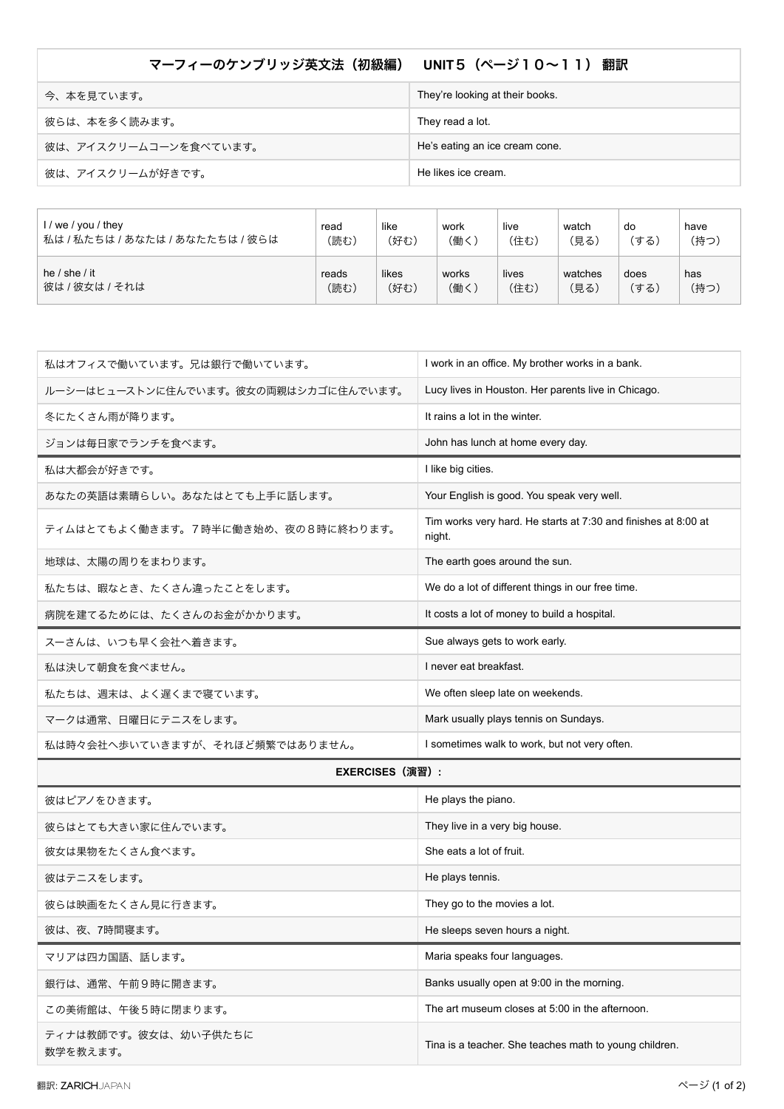## マーフィーのケンブリッジ英文法 (初級編) UNIT5 (ページ10~11) 翻訳

| 今、本を見ています。            | They're looking at their books. |
|-----------------------|---------------------------------|
| 彼らは、本を多く読みます。         | They read a lot.                |
| 彼は、アイスクリームコーンを食べています。 | He's eating an ice cream cone.  |
| 彼は、アイスクリームが好きです。      | He likes ice cream.             |

| l / we / you / they             | read  | like  | work  | live  | watch   | do   | have |
|---------------------------------|-------|-------|-------|-------|---------|------|------|
| 私は / 私たちは / あなたは / あなたたちは / 彼らは | (読む)  | (好む)  | (働く)  | (住む)  | 〔見る〕    | (する) | (持つ) |
| he $/$ she $/$ it               | reads | likes | works | lives | watches | does | has  |
| 彼は / 彼女は / それは                  | (読む)  | (好む)  | (働く)  | (住む)  | 〔見る〕    | (する) | (持つ) |

| 私はオフィスで働いています。兄は銀行で働いています。           | I work in an office. My brother works in a bank.                         |  |  |  |  |
|--------------------------------------|--------------------------------------------------------------------------|--|--|--|--|
| ルーシーはヒューストンに住んでいます。彼女の両親はシカゴに住んでいます。 | Lucy lives in Houston. Her parents live in Chicago.                      |  |  |  |  |
| 冬にたくさん雨が降ります。                        | It rains a lot in the winter.                                            |  |  |  |  |
| ジョンは毎日家でランチを食べます。                    | John has lunch at home every day.                                        |  |  |  |  |
| 私は大都会が好きです。                          | I like big cities.                                                       |  |  |  |  |
| あなたの英語は素晴らしい。あなたはとても上手に話します。         | Your English is good. You speak very well.                               |  |  |  |  |
| ティムはとてもよく働きます。7時半に働き始め、夜の8時に終わります。   | Tim works very hard. He starts at 7:30 and finishes at 8:00 at<br>night. |  |  |  |  |
| 地球は、太陽の周りをまわります。                     | The earth goes around the sun.                                           |  |  |  |  |
| 私たちは、暇なとき、たくさん違ったことをします。             | We do a lot of different things in our free time.                        |  |  |  |  |
| 病院を建てるためには、たくさんのお金がかかります。            | It costs a lot of money to build a hospital.                             |  |  |  |  |
| スーさんは、いつも早く会社へ着きます。                  | Sue always gets to work early.                                           |  |  |  |  |
| 私は決して朝食を食べません。                       | I never eat breakfast.                                                   |  |  |  |  |
| 私たちは、週末は、よく遅くまで寝ています。                | We often sleep late on weekends.                                         |  |  |  |  |
| マークは通常、日曜日にテニスをします。                  | Mark usually plays tennis on Sundays.                                    |  |  |  |  |
| 私は時々会社へ歩いていきますが、それほど頻繁ではありません。       | I sometimes walk to work, but not very often.                            |  |  |  |  |
| <b>EXERCISES (演習):</b>               |                                                                          |  |  |  |  |
| 彼はピアノをひきます。                          | He plays the piano.                                                      |  |  |  |  |
| 彼らはとても大きい家に住んでいます。                   | They live in a very big house.                                           |  |  |  |  |
| 彼女は果物をたくさん食べます。                      | She eats a lot of fruit.                                                 |  |  |  |  |

彼らは映画をたくさん見に行きます。 インディング インディング They go to the movies a lot.

彼は、夜、7時間寝ます。 ファント アンディング インタン しゅうしょう しゅうしょう He sleeps seven hours a night.

マリアは四カ国語、話します。 ファイン Maria speaks four languages. 銀行は、通常、午前9時に開きます。 ファイン・ファイン Banks usually open at 9:00 in the morning. この美術館は、午後5時に閉まります。 インディングのインディングのディスク The art museum closes at 5:00 in the afternoon.

ティナは教師です。彼女は、幼い子供たちに ジャク 1955年 - 1955年 - 1955年 - 1955年 - 1955年 - 1955年 - 1955年 - 1955年 - 1955年 - 1955年 - 1955年 - 1955年 - 1955年 - 1<br>数学を教えます。